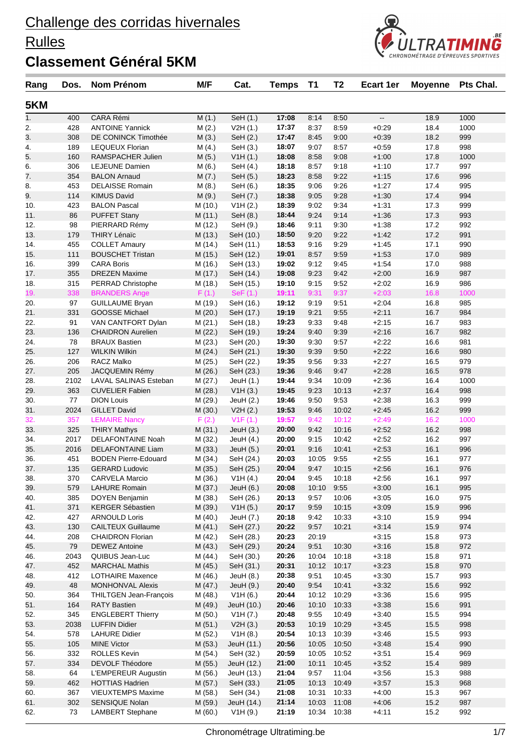### **Rulles**



| Rang       | Dos.        | Nom Prénom                                      | M/F                | Cat.                    | <b>Temps</b>   | <b>T1</b>    | T <sub>2</sub> | <b>Ecart 1er</b>         | <b>Moyenne</b> | Pts Chal.  |
|------------|-------------|-------------------------------------------------|--------------------|-------------------------|----------------|--------------|----------------|--------------------------|----------------|------------|
| 5KM        |             |                                                 |                    |                         |                |              |                |                          |                |            |
| 1.         | 400         | <b>CARA Rémi</b>                                | M(1.)              | SeH (1.)                | 17:08          | 8:14         | 8:50           | $\overline{\phantom{a}}$ | 18.9           | 1000       |
| 2.         | 428         | <b>ANTOINE Yannick</b>                          | M(2.)              | V2H(1.)                 | 17:37          | 8:37         | 8:59           | $+0:29$                  | 18.4           | 1000       |
| 3.         | 308         | DE CONINCK Timothée                             | M(3.)              | SeH (2.)                | 17:47          | 8:45         | 9:00           | $+0.39$                  | 18.2           | 999        |
| 4.         | 189         | <b>LEQUEUX Florian</b>                          | M(4.)              | SeH (3.)                | 18:07          | 9:07         | 8:57           | $+0.59$                  | 17.8           | 998        |
| 5.         | 160         | RAMSPACHER Julien                               | M(5.)              | V1H(1.)                 | 18:08          | 8:58         | 9:08           | $+1:00$                  | 17.8           | 1000       |
| 6.         | 306         | <b>LEJEUNE Damien</b>                           | M(6.)              | SeH (4.)                | 18:18          | 8:57         | 9:18           | $+1:10$                  | 17.7           | 997        |
| 7.         | 354         | <b>BALON Arnaud</b>                             | M(7.)              | SeH (5.)                | 18:23          | 8:58         | 9:22           | $+1:15$                  | 17.6           | 996        |
| 8.         | 453         | <b>DELAISSE Romain</b>                          | M(8.)              | SeH (6.)                | 18:35          | 9:06         | 9:26           | $+1:27$                  | 17.4           | 995        |
| 9.         | 114         | <b>KIMUS David</b>                              | M(9.)              | SeH (7.)                | 18:38          | 9:05         | 9:28           | $+1:30$                  | 17.4           | 994        |
| 10.        | 423         | <b>BALON Pascal</b>                             | M(10.)             | V1H(2.)                 | 18:39          | 9:02         | 9:34           | $+1:31$                  | 17.3           | 999        |
| 11.        | 86          | <b>PUFFET Stany</b>                             | M (11.)            | SeH (8.)                | 18:44          | 9:24         | 9:14           | $+1:36$                  | 17.3           | 993        |
| 12.        | 98          | PIERRARD Rémy                                   | M (12.)            | SeH (9.)                | 18:46          | 9:11         | 9:30           | $+1:38$                  | 17.2           | 992        |
| 13.        | 179         | <b>THIRY Lénaïc</b>                             | M (13.)            | SeH (10.)               | 18:50          | 9:20         | 9:22           | $+1.42$                  | 17.2           | 991        |
| 14.        | 455         | <b>COLLET Amaury</b>                            | M (14.)            | SeH (11.)               | 18:53          | 9:16         | 9:29           | $+1:45$                  | 17.1           | 990        |
| 15.        | 111         | <b>BOUSCHET Tristan</b>                         | M(15.)             | SeH (12.)               | 19:01          | 8:57         | 9:59           | $+1:53$                  | 17.0           | 989        |
| 16.        | 399         | <b>CARA Boris</b>                               | M (16.)            | SeH (13.)               | 19:02          | 9:12         | 9:45           | $+1:54$                  | 17.0           | 988        |
| 17.        | 355         | <b>DREZEN Maxime</b>                            | M (17.)            | SeH (14.)               | 19:08          | 9:23         | 9:42           | $+2:00$                  | 16.9           | 987        |
| 18.        | 315         | PERRAD Christophe                               | M (18.)            | SeH (15.)               | 19:10          | 9:15         | 9:52           | $+2:02$                  | 16.9           | 986        |
| 19.        | 338         | <b>BRANDERS Ange</b>                            | F(1.)              | SeF(1.)                 | 19:11          | 9:31         | 9:37           | $+2:03$                  | 16.8           | 1000       |
| 20.        | 97          | <b>GUILLAUME Bryan</b>                          | M (19.)            | SeH (16.)               | 19:12          | 9:19         | 9:51           | $+2:04$                  | 16.8           | 985        |
| 21.        | 331         | <b>GOOSSE Michael</b>                           | M(20.)             | SeH (17.)               | 19:19          | 9:21         | 9:55           | $+2:11$                  | 16.7           | 984        |
| 22.        | 91          | VAN CANTFORT Dylan                              | M(21.)             | SeH (18.)               | 19:23          | 9:33         | 9:48           | $+2:15$                  | 16.7           | 983        |
| 23.        | 136         | <b>CHAIDRON Aurelien</b>                        | M (22.)            | SeH (19.)               | 19:24          | 9:40         | 9:39           | $+2:16$                  | 16.7           | 982        |
| 24.        | 78          | <b>BRAUX Bastien</b>                            | M (23.)            | SeH (20.)               | 19:30          | 9:30         | 9:57           | $+2:22$                  | 16.6           | 981        |
| 25.        | 127         | <b>WILKIN Wilkin</b>                            | M (24.)            | SeH (21.)               | 19:30          | 9:39         | 9:50           | $+2:22$                  | 16.6           | 980        |
| 26.        | 206         | <b>RACZ Malko</b>                               | M (25.)            | SeH (22.)               | 19:35          | 9:56         | 9:33           | $+2:27$                  | 16.5           | 979        |
| 27.        | 205         | JACQUEMIN Rémy                                  | M (26.)            | SeH (23.)               | 19:36          | 9:46         | 9:47           | $+2:28$                  | 16.5           | 978        |
| 28.        | 2102        | LAVAL SALINAS Esteban                           | M (27.)            | JeuH (1.)               | 19:44          | 9:34         | 10:09          | $+2:36$                  | 16.4           | 1000       |
| 29.        | 363         | <b>CUVELIER Fabien</b>                          | M (28.)            | V1H(3.)                 | 19:45          | 9:23         | 10:13          | $+2:37$                  | 16.4           | 998        |
| 30.        | 77          | <b>DION Louis</b>                               | M (29.)            | JeuH (2.)               | 19:46          | 9:50         | 9:53           | $+2:38$                  | 16.3           | 999        |
| 31.        | 2024        | <b>GILLET David</b>                             | M (30.)            | V2H(2.)                 | 19:53          | 9:46         | 10:02          | $+2:45$                  | 16.2           | 999        |
| 32.        | 357         | <b>LEMAIRE Nancy</b>                            | F(2.)              | V1F(1.)                 | 19:57<br>20:00 | 9:42         | 10:12<br>10:16 | $+2:49$                  | 16.2           | 1000       |
| 33.<br>34. | 325<br>2017 | <b>THIRY Mathys</b><br><b>DELAFONTAINE Noah</b> | M (31.)            | JeuH $(3.)$             | 20:00          | 9:42<br>9:15 | 10:42          | $+2:52$<br>$+2:52$       | 16.2<br>16.2   | 998<br>997 |
| 35.        | 2016        | DELAFONTAINE Liam                               | M (32.)<br>M (33.) | JeuH (4.)               | 20:01          | 9:16         | 10:41          | $+2:53$                  | 16.1           | 996        |
| 36.        | 451         | <b>BODEN Pierre-Edouard</b>                     |                    | JeuH (5.)               | 20:03          | 10:05        | 9:55           | $+2:55$                  | 16.1           | 977        |
| 37.        | 135         | <b>GERARD Ludovic</b>                           | M (34.)<br>M (35.) | SeH (24.)<br>SeH (25.)  | 20:04          | 9:47         | 10:15          | $+2:56$                  | 16.1           | 976        |
| 38.        | 370         | <b>CARVELA Marcio</b>                           | M (36.)            | V1H(4.)                 | 20:04          | 9:45         | 10:18          | $+2:56$                  | 16.1           | 997        |
| 39.        | 579         | <b>LAHURE Romain</b>                            | M (37.)            | JeuH (6.)               | 20:08          | 10:10        | 9:55           | $+3:00$                  | 16.1           | 995        |
| 40.        | 385         | DOYEN Benjamin                                  | M (38.)            | SeH (26.)               | 20:13          | 9:57         | 10:06          | $+3:05$                  | 16.0           | 975        |
| 41.        | 371         | <b>KERGER Sébastien</b>                         | M (39.)            | V1H(5.)                 | 20:17          | 9:59         | 10:15          | $+3:09$                  | 15.9           | 996        |
| 42.        | 427         | <b>ARNOULD Loris</b>                            | M (40.)            | JeuH (7.)               | 20:18          | 9:42         | 10:33          | $+3:10$                  | 15.9           | 994        |
| 43.        | 130         | <b>CAILTEUX Guillaume</b>                       | M(41.)             | SeH (27.)               | 20:22          | 9:57         | 10:21          | $+3:14$                  | 15.9           | 974        |
| 44.        | 208         | <b>CHAIDRON Florian</b>                         | M (42.)            | SeH (28.)               | 20:23          | 20:19        |                | $+3:15$                  | 15.8           | 973        |
| 45.        | 79          | <b>DEWEZ Antoine</b>                            | M (43.)            | SeH (29.)               | 20:24          | 9:51         | 10:30          | $+3:16$                  | 15.8           | 972        |
| 46.        | 2043        | QUIBUS Jean-Luc                                 | M (44.)            | SeH (30.)               | 20:26          | 10:04        | 10:18          | $+3:18$                  | 15.8           | 971        |
| 47.        | 452         | <b>MARCHAL Mathis</b>                           | M (45.)            | SeH (31.)               | 20:31          | 10:12        | 10:17          | $+3:23$                  | 15.8           | 970        |
| 48.        | 412         | <b>LOTHAIRE Maxence</b>                         | M (46.)            | JeuH $(8.)$             | 20:38          | 9:51         | 10:45          | $+3:30$                  | 15.7           | 993        |
| 49.        | 48          | <b>MONHONVAL Alexis</b>                         | M(47.)             | JeuH (9.)               | 20:40          | 9:54         | 10:41          | $+3:32$                  | 15.6           | 992        |
| 50.        | 364         | <b>THILTGEN Jean-François</b>                   | M (48.)            | V <sub>1</sub> H $(6.)$ | 20:44          | 10:12        | 10:29          | $+3:36$                  | 15.6           | 995        |
| 51.        | 164         | <b>RATY Bastien</b>                             | M (49.)            | JeuH (10.)              | 20:46          | 10:10        | 10:33          | $+3:38$                  | 15.6           | 991        |
| 52.        | 345         | <b>ENGLEBERT Thierry</b>                        | M (50.)            | V1H (7.)                | 20:48          | 9:55         | 10:49          | $+3:40$                  | 15.5           | 994        |
| 53.        | 2038        | <b>LUFFIN Didier</b>                            | M(51.)             | V2H(3.)                 | 20:53          | 10:19        | 10:29          | $+3:45$                  | 15.5           | 998        |
| 54.        | 578         | <b>LAHURE Didier</b>                            | M(52.)             | V1H(8.)                 | 20:54          | 10:13        | 10:39          | $+3:46$                  | 15.5           | 993        |
| 55.        | 105         | <b>MINE Victor</b>                              | M (53.)            | JeuH (11.)              | 20:56          | 10:05        | 10:50          | $+3:48$                  | 15.4           | 990        |
| 56.        | 332         | <b>ROLLES Kevin</b>                             | M (54.)            | SeH (32.)               | 20:59          | 10:05        | 10:52          | $+3:51$                  | 15.4           | 969        |
| 57.        | 334         | <b>DEVOLF Théodore</b>                          | M (55.)            | JeuH (12.)              | 21:00          | 10:11        | 10:45          | $+3:52$                  | 15.4           | 989        |
| 58.        | 64          | L'EMPEREUR Augustin                             | M (56.)            | JeuH (13.)              | 21:04          | 9:57         | 11:04          | $+3:56$                  | 15.3           | 988        |
| 59.        | 462         | <b>HOTTIAS Hadrien</b>                          | M (57.)            | SeH (33.)               | 21:05          | 10:13        | 10:49          | $+3:57$                  | 15.3           | 968        |
| 60.        | 367         | <b>VIEUXTEMPS Maxime</b>                        | M (58.)            | SeH (34.)               | 21:08          | 10:31        | 10:33          | $+4:00$                  | 15.3           | 967        |
| 61.        | 302         | SENSIQUE Nolan                                  | M (59.)            | JeuH (14.)              | 21:14          | 10:03        | 11:08          | $+4:06$                  | 15.2           | 987        |
| 62.        | 73          | <b>LAMBERT Stephane</b>                         | M (60.)            | V1H(9.)                 | 21:19          |              | 10:34 10:38    | $+4:11$                  | 15.2           | 992        |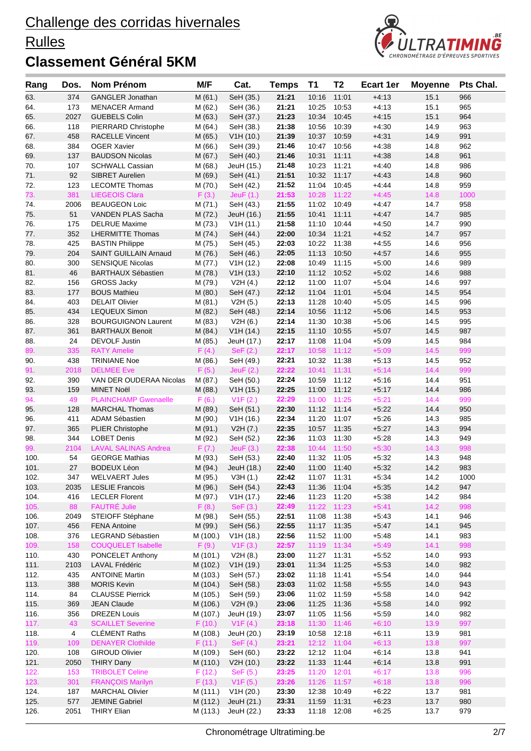### **Rulles**



| Rang         | Dos.           | Nom Prénom                                | M/F               | Cat.                | <b>Temps</b>   | <b>T1</b>   | T <sub>2</sub>       | <b>Ecart 1er</b>   | <b>Moyenne</b> | Pts Chal.  |
|--------------|----------------|-------------------------------------------|-------------------|---------------------|----------------|-------------|----------------------|--------------------|----------------|------------|
| 63.          | 374            | <b>GANGLER Jonathan</b>                   | M(61.)            | SeH (35.)           | 21:21          | 10:16       | 11:01                | $+4:13$            | 15.1           | 966        |
| 64.          | 173            | <b>MENACER Armand</b>                     | M(62.)            | SeH (36.)           | 21:21          | 10:25       | 10:53                | $+4:13$            | 15.1           | 965        |
| 65.          | 2027           | <b>GUEBELS Colin</b>                      | M(63.)            | SeH (37.)           | 21:23          | 10:34       | 10:45                | $+4:15$            | 15.1           | 964        |
| 66.          | 118            | PIERRARD Christophe                       | M(64.)            | SeH (38.)           | 21:38          | 10:56       | 10:39                | $+4:30$            | 14.9           | 963        |
| 67.          | 458            | <b>RACELLE Vincent</b>                    | M(65.)            | V1H(10.)            | 21:39          | 10:37       | 10:59                | $+4:31$            | 14.9           | 991        |
| 68.          | 384            | <b>OGER Xavier</b>                        | M(66.)            | SeH (39.)           | 21:46          | 10:47       | 10:56                | $+4:38$            | 14.8           | 962        |
| 69.          | 137            | <b>BAUDSON Nicolas</b>                    | M(67.)            | SeH (40.)           | 21:46          | 10:31       | 11:11                | $+4:38$            | 14.8           | 961        |
| 70.          | 107            | <b>SCHWALL Cassian</b>                    | M (68.)           | JeuH (15.)          | 21:48          | 10:23       | 11:21                | $+4:40$            | 14.8           | 986        |
| 71.          | 92             | <b>SIBRET Aurelien</b>                    | M (69.)           | SeH (41.)           | 21:51          | 10:32       | 11:17                | $+4:43$            | 14.8           | 960        |
| 72.          | 123            | <b>LECOMTE Thomas</b>                     | M (70.)           | SeH (42.)           | 21:52          | 11:04       | 10:45                | $+4.44$            | 14.8           | 959        |
| 73.          | 381            | <b>LIEGEOIS Clara</b>                     | F(3.)             | Jeu $F(1.)$         | 21:53          | 10:28       | 11:22                | $+4:45$            | 14.8           | 1000       |
| 74.          | 2006           | <b>BEAUGEON Loic</b>                      | M(71.)            | SeH (43.)           | 21:55          | 11:02       | 10:49                | $+4.47$            | 14.7           | 958        |
| 75.          | 51             | VANDEN PLAS Sacha                         | M(72.)            | JeuH (16.)          | 21:55          | 10:41       | 11:11                | $+4.47$            | 14.7           | 985        |
| 76.          | 175            | <b>DELRUE Maxime</b>                      | M (73.)           | V1H(11.)            | 21:58          | 11:10       | 10:44                | $+4:50$            | 14.7           | 990        |
| 77.          | 352            | <b>LHERMITTE Thomas</b>                   | M(74.)            | SeH (44.)           | 22:00          | 10:34       | 11:21                | $+4:52$            | 14.7           | 957        |
| 78.          | 425            | <b>BASTIN Philippe</b>                    | M (75.)           | SeH (45.)           | 22:03          | 10:22       | 11:38                | $+4:55$            | 14.6           | 956        |
| 79.          | 204            | <b>SAINT GUILLAIN Arnaud</b>              | M (76.)           | SeH (46.)           | 22:05          | 11:13       | 10:50                | $+4:57$            | 14.6           | 955        |
| 80.          | 300            | <b>SENSIQUE Nicolas</b>                   | M (77.)           | V1H (12.)           | 22:08          | 10:49       | 11:15                | $+5:00$            | 14.6           | 989        |
| 81.          | 46             | <b>BARTHAUX Sébastien</b>                 | M (78.)           | V1H (13.)           | 22:10          | 11:12       | 10:52                | $+5:02$            | 14.6           | 988        |
| 82.          | 156            | <b>GROSS Jacky</b>                        | M (79.)           | V2H(4.)             | 22:12          | 11:00       | 11:07                | $+5:04$            | 14.6           | 997        |
| 83.          | 177            | <b>BOUS Mathieu</b>                       | M(80.)            | SeH (47.)           | 22:12          | 11:04       | 11:01                | $+5:04$            | 14.5           | 954        |
| 84.          | 403            | <b>DELAIT Olivier</b>                     | M(81.)            | V2H(5.)             | 22:13          | 11:28       | 10:40                | $+5:05$            | 14.5           | 996        |
| 85.          | 434            | <b>LEQUEUX Simon</b>                      | M(82.)            | SeH (48.)           | 22:14          | 10:56       | 11:12                | $+5:06$            | 14.5           | 953        |
| 86.          | 328            | <b>BOURGUIGNON Laurent</b>                | M (83.)           | V2H(6.)             | 22:14          | 11:30       | 10:38                | $+5:06$            | 14.5           | 995        |
| 87.          | 361            | <b>BARTHAUX Benoit</b>                    | M (84.)           | V1H(14.)            | 22:15          | 11:10       | 10:55                | $+5:07$            | 14.5           | 987        |
| 88.          | 24             | DEVOLF Justin                             | M (85.)           | JeuH (17.)          | 22:17          | 11:08       | 11:04                | $+5:09$            | 14.5           | 984        |
| 89.          | 335            | <b>RATY Amelie</b>                        | F(4.)             | SeF (2.)            | 22:17          | 10:58       | 11:12                | $+5:09$            | 14.5           | 999        |
| 90.          | 438            | <b>TRINIANE Noe</b>                       | M(86.)            | SeH (49.)           | 22:21          | 10:32       | 11:38                | $+5:13$            | 14.5           | 952        |
| 91.          | 2018           | <b>DELMEE</b> Eve                         | F(5.)             | JeuF(2.)            | 22:22          | 10:41       | 11:31                | $+5:14$            | 14.4           | 999        |
| 92.          | 390            | VAN DER OUDERAA Nicolas                   | M (87.)           | SeH (50.)           | 22:24          | 10:59       | 11:12                | $+5:16$            | 14.4           | 951        |
| 93.          | 159            | <b>MINET Noël</b>                         | M (88.)           | V1H(15.)            | 22:25          | 11:00       | 11:12                | $+5:17$            | 14.4           | 986        |
| 94.          | 49             | <b>PLAINCHAMP Gwenaelle</b>               | F(6.)             | V1F(2.)             | 22:29          | 11:00       | 11:25                | $+5:21$            | 14.4           | 999        |
| 95.          | 128            | <b>MARCHAL Thomas</b>                     | M (89.)           | SeH (51.)           | 22:30          | 11:12       | 11:14                | $+5:22$            | 14.4           | 950        |
| 96.          | 411            | <b>ADAM Sébastien</b>                     | M (90.)           | V1H(16.)            | 22:34          | 11:20       | 11:07                | $+5:26$            | 14.3           | 985        |
| 97.          | 365            | <b>PLIER Christophe</b>                   | M (91.)           | V2H (7.)            | 22:35          | 10:57       | 11:35                | $+5:27$            | 14.3           | 994        |
| 98.          | 344            | <b>LOBET Denis</b>                        | M (92.)           | SeH (52.)           | 22:36          | 11:03       | 11:30                | $+5.28$            | 14.3           | 949        |
| 99.          | 2104           | <b>LAVAL SALINAS Andrea</b>               | F(7.)             | Jeu $F(3.)$         | 22:38          | 10:44       | 11:50                | $+5:30$            | 14.3           | 998        |
| 100.         | 54             | <b>GEORGE Mathias</b>                     | M (93.)           | SeH (53.)           | 22:40          | 11:32       | 11:05                | $+5:32$            | 14.3           | 948        |
| 101.         | 27             | <b>BODEUX Léon</b>                        | M (94.)           | JeuH (18.)          | 22:40          | 11:00       | 11:40                | $+5:32$            | 14.2           | 983        |
| 102.         | 347            | <b>WELVAERT Jules</b>                     | M (95.)           | V3H(1.)             | 22:42          | 11:07 11:31 |                      | $+5:34$            | 14.2           | 1000       |
| 103.         | 2035           | <b>LESLIE Francois</b>                    | M (96.)           | SeH (54.)           | 22:43          | 11:36 11:04 |                      | $+5:35$            | 14.2           | 947        |
| 104.         | 416            | <b>LECLER Florent</b>                     | M (97.)           | V1H (17.)           | 22:46          | 11:23       | 11:20                | $+5:38$            | 14.2           | 984        |
| 105.         | 88             | <b>FAUTRÉ Julie</b>                       | F(8.)             | SeF (3.)            | 22:49          | 11:22       | 11:23                | $+5:41$            | 14.2           | 998        |
| 106.         | 2049           | STEIOFF Stéphane<br><b>FENA Antoine</b>   | M (98.)           | SeH (55.)           | 22:51          | 11:08       | 11:38                | $+5:43$            | 14.1           | 946        |
| 107.         | 456            |                                           | M (99.)           | SeH (56.)           | 22:55          | 11:17 11:35 |                      | $+5:47$            | 14.1           | 945        |
| 108.<br>109. | 376<br>158     | LEGRAND Sébastien                         | M (100.)          | V1H(18.)            | 22:56          | 11:52 11:00 |                      | $+5:48$            | 14.1<br>14.1   | 983<br>998 |
| 110.         | 430            | <b>COUQUELET Isabelle</b>                 | F(9.)<br>M (101.) | V1F(3.)             | 22:57<br>23:00 | 11:27       | 11:19 11:34<br>11:31 | $+5:49$<br>$+5:52$ | 14.0           | 993        |
|              | 2103           | PONCELET Anthony<br><b>LAVAL Frédéric</b> | M (102.)          | V2H(8.)<br>V1H(19.) | 23:01          | 11:34 11:25 |                      | $+5:53$            | 14.0           | 982        |
| 111.<br>112. | 435            | <b>ANTOINE Martin</b>                     | M (103.)          | SeH (57.)           | 23:02          | 11:18       | 11:41                | $+5:54$            | 14.0           | 944        |
| 113.         | 388            | <b>MORIS Kevin</b>                        | M (104.)          | SeH (58.)           | 23:03          | 11:02 11:58 |                      | $+5:55$            | 14.0           | 943        |
| 114.         | 84             | <b>CLAUSSE Pierrick</b>                   | M (105.)          | SeH (59.)           | 23:06          | 11:02 11:59 |                      | $+5:58$            | 14.0           | 942        |
| 115.         | 369            | <b>JEAN Claude</b>                        | M (106.)          | V2H(9.)             | 23:06          | 11:25       | 11:36                | $+5:58$            | 14.0           | 992        |
| 116.         | 356            | <b>DREZEN Louis</b>                       | M (107.)          | JeuH (19.)          | 23:07          | 11:05       | 11:56                | $+5:59$            | 14.0           | 982        |
| 117.         | 43             | <b>SCAILLET Severine</b>                  | F(10.)            | V1F(4.)             | 23:18          | 11:30       | 11:46                | $+6:10$            | 13.9           | 997        |
| 118.         | $\overline{4}$ | <b>CLÉMENT Raths</b>                      | M (108.)          | JeuH (20.)          | 23:19          | 10:58       | 12:18                | $+6:11$            | 13.9           | 981        |
| 119.         | 109            | <b>DENAYER Clothilde</b>                  | F(11.)            | SeF $(4.)$          | 23:21          |             | 12:12 11:04          | $+6:13$            | 13.8           | 997        |
| 120.         | 108            | <b>GIROUD Olivier</b>                     | M (109.)          | SeH (60.)           | 23:22          | 12:12 11:04 |                      | $+6:14$            | 13.8           | 941        |
| 121.         | 2050           | <b>THIRY Dany</b>                         | M (110.)          | V2H (10.)           | 23:22          | 11:33 11:44 |                      | $+6:14$            | 13.8           | 991        |
| 122.         | 153            | <b>TRIBOLET Celine</b>                    | F(12.)            | SeF(5.)             | 23:25          | 11:20       | 12:01                | $+6:17$            | 13.8           | 996        |
| 123.         | 301            | <b>FRANÇOIS Marilyn</b>                   | F(13.)            | V1F(5.)             | 23:26          | 11:26       | 11:57                | $+6:18$            | 13.8           | 996        |
| 124.         | 187            | <b>MARCHAL Olivier</b>                    | M (111.)          | V1H (20.)           | 23:30          | 12:38       | 10:49                | $+6:22$            | 13.7           | 981        |
| 125.         | 577            | <b>JEMINE Gabriel</b>                     | M (112.)          | JeuH (21.)          | 23:31          | 11:59       | 11:31                | $+6:23$            | 13.7           | 980        |
| 126.         | 2051           | <b>THIRY Elian</b>                        | M (113.)          | JeuH (22.)          | 23:33          | 11:18 12:08 |                      | $+6:25$            | 13.7           | 979        |
|              |                |                                           |                   |                     |                |             |                      |                    |                |            |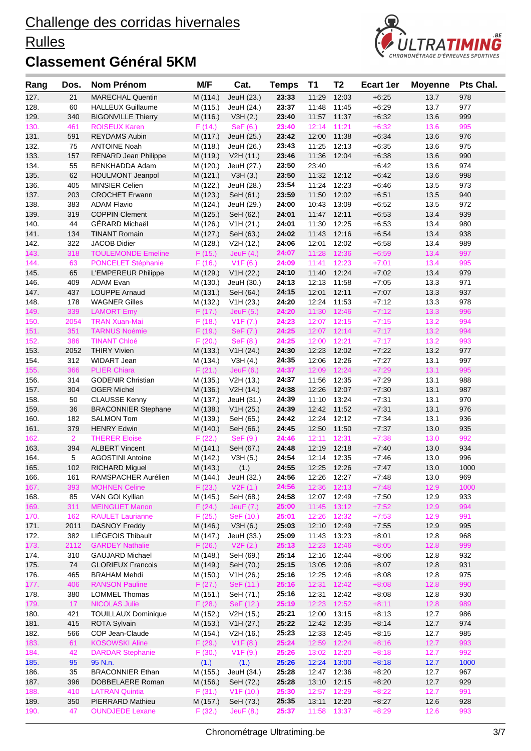### **Rulles**



| Rang         | Dos.           | <b>Nom Prénom</b>                                  | M/F                  | Cat.                   | <b>Temps</b>   | T1             | T2                   | <b>Ecart 1er</b>   | <b>Moyenne</b> | Pts Chal.   |
|--------------|----------------|----------------------------------------------------|----------------------|------------------------|----------------|----------------|----------------------|--------------------|----------------|-------------|
| 127.         | 21             | <b>MARECHAL Quentin</b>                            | M (114.)             | JeuH (23.)             | 23:33          | 11:29          | 12:03                | $+6.25$            | 13.7           | 978         |
| 128.         | 60             | <b>HALLEUX Guillaume</b>                           | M (115.)             | JeuH (24.)             | 23:37          | 11:48          | 11:45                | $+6:29$            | 13.7           | 977         |
| 129.         | 340            | <b>BIGONVILLE Thierry</b>                          | M (116.)             | V3H(2.)                | 23:40          | 11:57          | 11:37                | $+6:32$            | 13.6           | 999         |
| 130.         | 461            | <b>ROISEUX Karen</b>                               | F(14.)               | SeF(6.)                | 23:40          | 12:14          | 11:21                | $+6:32$            | 13.6           | 995         |
| 131.         | 591            | <b>REYDAMS Aubin</b>                               | M (117.)             | JeuH (25.)             | 23:42          | 12:00          | 11:38                | $+6:34$            | 13.6           | 976         |
| 132.         | 75             | <b>ANTOINE Noah</b>                                | M (118.)             | JeuH (26.)             | 23:43          | 11:25          | 12:13                | $+6:35$            | 13.6           | 975         |
| 133.         | 157            | <b>RENARD Jean Philippe</b>                        | M (119.)             | V2H (11.)              | 23:46          | 11:36          | 12:04                | $+6:38$            | 13.6           | 990<br>974  |
| 134.<br>135. | 55<br>62       | BENKHADDA Adam<br><b>HOULMONT Jeanpol</b>          | M (120.)<br>M (121.) | JeuH (27.)<br>V3H(3.)  | 23:50<br>23:50 | 23:40<br>11:32 | 12:12                | $+6:42$<br>$+6:42$ | 13.6<br>13.6   | 998         |
| 136.         | 405            | <b>MINSIER Celien</b>                              | M (122.)             | JeuH (28.)             | 23:54          | 11:24          | 12:23                | $+6:46$            | 13.5           | 973         |
| 137.         | 203            | <b>CROCHET Erwann</b>                              | M (123.)             | SeH (61.)              | 23:59          | 11:50          | 12:02                | $+6.51$            | 13.5           | 940         |
| 138.         | 383            | <b>ADAM Flavio</b>                                 | M (124.)             | JeuH (29.)             | 24:00          | 10:43          | 13:09                | $+6:52$            | 13.5           | 972         |
| 139.         | 319            | <b>COPPIN Clement</b>                              | M (125.)             | SeH (62.)              | 24:01          | 11:47          | 12:11                | $+6:53$            | 13.4           | 939         |
| 140.         | 44             | GÉRARD Michaël                                     | M (126.)             | V1H (21.)              | 24:01          | 11:30          | 12:25                | $+6:53$            | 13.4           | 980         |
| 141.         | 134            | <b>TINANT Romain</b>                               | M (127.)             | SeH (63.)              | 24:02          |                | 11:43 12:16          | $+6:54$            | 13.4           | 938         |
| 142.         | 322            | <b>JACOB Didier</b>                                | M (128.)             | V2H (12.)              | 24:06          | 12:01          | 12:02                | $+6.58$            | 13.4           | 989         |
| 143.         | 318            | <b>TOULEMONDE Emeline</b>                          | F(15.)               | Jeu $F(4.)$            | 24:07          | 11:28          | 12:36                | $+6:59$            | 13.4           | 997         |
| 144.         | 63             | PONCELET Stéphanie                                 | F(16.)               | V1F(6.)                | 24:09          | 11:41          | 12:23                | $+7:01$            | 13.4           | 995         |
| 145.         | 65             | L'EMPEREUR Philippe                                | M (129.)             | V1H (22.)              | 24:10          | 11:40          | 12:24                | $+7:02$            | 13.4           | 979         |
| 146.         | 409            | <b>ADAM Evan</b>                                   | M (130.)             | JeuH (30.)             | 24:13          | 12:13          | 11:58                | $+7:05$            | 13.3           | 971         |
| 147.         | 437            | <b>LOUPPE Arnaud</b>                               | M (131.)             | SeH (64.)              | 24:15          | 12:01          | 12:11                | $+7:07$            | 13.3           | 937         |
| 148.         | 178            | <b>WAGNER Gilles</b>                               | M (132.)             | V1H (23.)              | 24:20          | 12:24          | 11:53<br>12:46       | $+7:12$            | 13.3           | 978         |
| 149.<br>150. | 339<br>2054    | <b>LAMORT Emy</b><br><b>TRAN Xuan-Mai</b>          | F(17.)<br>F(18.)     | JeuF(5.)               | 24:20<br>24:23 | 11:30<br>12:07 | 12:15                | $+7:12$<br>$+7:15$ | 13.3<br>13.2   | 996<br>994  |
| 151.         | 351            | <b>TARNUS Noémie</b>                               | F(19.)               | V1F (7.)<br>SeF (7.)   | 24:25          | 12:07          | 12:14                | $+7:17$            | 13.2           | 994         |
| 152.         | 386            | <b>TINANT Chloé</b>                                | F(20.)               | SeF(8.)                | 24:25          | 12:00          | 12:21                | $+7:17$            | 13.2           | 993         |
| 153.         | 2052           | <b>THIRY Vivien</b>                                | M (133.)             | V1H (24.)              | 24:30          | 12:23          | 12:02                | $+7:22$            | 13.2           | 977         |
| 154.         | 312            | WIDART Jean                                        | M (134.)             | V3H(4.)                | 24:35          | 12:06          | 12:26                | $+7:27$            | 13.1           | 997         |
| 155.         | 366            | <b>PLIER Chiara</b>                                | F(21.)               | Jeu $F(6.)$            | 24:37          | 12:09          | 12:24                | $+7:29$            | 13.1           | 995         |
| 156.         | 314            | <b>GODENIR Christian</b>                           | M (135.)             | V2H (13.)              | 24:37          | 11:56          | 12:35                | $+7:29$            | 13.1           | 988         |
| 157.         | 304            | <b>OGER Michel</b>                                 | M (136.)             | V2H (14.)              | 24:38          | 12:26          | 12:07                | $+7:30$            | 13.1           | 987         |
| 158.         | 50             | <b>CLAUSSE Kenny</b>                               | M (137.)             | JeuH (31.)             | 24:39          |                | 11:10 13:24          | $+7:31$            | 13.1           | 970         |
| 159.         | 36             | <b>BRACONNIER Stephane</b>                         | M (138.)             | V1H (25.)              | 24:39          | 12:42          | 11:52                | $+7.31$            | 13.1           | 976         |
| 160.         | 182            | <b>SALMON Tom</b>                                  | M (139.)             | SeH (65.)              | 24:42          | 12:24          | 12:12                | $+7:34$            | 13.1           | 936         |
| 161.         | 379            | <b>HENRY Edwin</b>                                 | M (140.)             | SeH (66.)              | 24:45          | 12:50          | 11:50                | $+7:37$            | 13.0           | 935         |
| 162.         | $\overline{2}$ | <b>THERER Eloise</b>                               | F(22.)               | SeF(9.)                | 24:46          | 12:11          | 12:31                | $+7:38$            | 13.0           | 992         |
| 163.         | 394            | <b>ALBERT Vincent</b>                              | M (141.)             | SeH (67.)              | 24:48          | 12:19          | 12:18                | $+7:40$            | 13.0           | 934         |
| 164.<br>165. | 5<br>102       | <b>AGOSTINI Antoine</b><br>RICHARD Miguel          | M (142.)<br>M (143.) | V3H(5.)<br>(1.)        | 24:54<br>24:55 | 12:14          | 12:35<br>12:25 12:26 | $+7:46$<br>$+7:47$ | 13.0<br>13.0   | 996<br>1000 |
| 166.         | 161            | RAMSPACHER Aurélien                                |                      | M (144.) JeuH (32.)    | 24:56          | 12:26 12:27    |                      | $+7:48$            | 13.0           | 969         |
| 167.         | 393            | <b>MOHNEN Celine</b>                               | F(23.)               | V2F(1.)                | 24:56          | 12:36          | 12:13                | $+7:48$            | 12.9           | 1000        |
| 168.         | 85             | VAN GOI Kyllian                                    | M (145.)             | SeH (68.)              | 24:58          | 12:07          | 12:49                | $+7:50$            | 12.9           | 933         |
| 169.         | 311            | <b>MEINGUET Manon</b>                              | F(24.)               | JeuF (7.)              | 25:00          | 11:45          | 13:12                | $+7:52$            | 12.9           | 994         |
| 170.         | 162            | <b>RAULET Laurianne</b>                            | F(25.)               | SeF (10.)              | 25:01          | 12:26          | 12:32                | $+7:53$            | 12.9           | 991         |
| 171.         | 2011           | <b>DASNOY Freddy</b>                               | M (146.)             | V3H(6.)                | 25:03          | 12:10          | 12:49                | $+7:55$            | 12.9           | 995         |
| 172.         | 382            | LIÉGEOIS Thibault                                  | M (147.)             | JeuH (33.)             | 25:09          | 11:43          | 13:23                | $+8:01$            | 12.8           | 968         |
| 173.         | 2112           | <b>GARDEY Nathalie</b>                             | F(26.)               | V2F(2.)                | 25:13          | 12:23          | 12:46                | $+8:05$            | 12.8           | 999         |
| 174.         | 310            | <b>GAUJARD Michael</b>                             | M (148.)             | SeH (69.)              | 25:14          | 12:16          | 12:44                | $+8:06$            | 12.8           | 932         |
| 175.         | 74             | <b>GLORIEUX Francois</b>                           | M (149.)             | SeH (70.)              | 25:15          | 13:05          | 12:06                | $+8:07$            | 12.8           | 931         |
| 176.         | 465            | <b>BRAHAM Mehdi</b>                                | M (150.)             | V1H (26.)              | 25:16          | 12:25          | 12:46                | $+8:08$            | 12.8           | 975         |
| 177.         | 406            | <b>RANSON Pauline</b>                              | F(27.)               | SeF (11.)              | 25:16          | 12:31          | 12:42                | $+8:08$            | 12.8           | 990         |
| 178.         | 380<br>17      | <b>LOMMEL Thomas</b>                               | M (151.)             | SeH (71.)              | 25:16          | 12:31          | 12:42                | $+8:08$            | 12.8<br>12.8   | 930         |
| 179.<br>180. | 421            | <b>NICOLAS Julie</b><br><b>TOUILLAUX Dominique</b> | F(28.)<br>M (152.)   | SeF (12.)<br>V2H (15.) | 25:19<br>25:21 | 12:23<br>12:00 | 12:52<br>13:15       | $+8:11$<br>$+8:13$ | 12.7           | 989<br>986  |
| 181.         | 415            | <b>ROTA Sylvain</b>                                | M (153.)             | V1H (27.)              | 25:22          |                | 12:42 12:35          | $+8:14$            | 12.7           | 974         |
| 182.         | 566            | COP Jean-Claude                                    | M (154.)             | V2H (16.)              | 25:23          | 12:33          | 12:45                | $+8:15$            | 12.7           | 985         |
| 183.         | 61             | <b>KOSOWSKI Aline</b>                              | F(29.)               | V1F(8.)                | 25:24          | 12:59          | 12:24                | $+8:16$            | 12.7           | 993         |
| 184.         | 42             | <b>DARDAR Stephanie</b>                            | F(30.)               | V1F(9.)                | 25:26          | 13:02          | 12:20                | $+8:18$            | 12.7           | 992         |
| 185.         | 95             | 95 N.n.                                            | (1.)                 | (1.)                   | 25:26          | 12:24          | 13:00                | $+8:18$            | 12.7           | 1000        |
| 186.         | 35             | <b>BRACONNIER Ethan</b>                            | M (155.)             | JeuH (34.)             | 25:28          |                | 12:47 12:36          | $+8:20$            | 12.7           | 967         |
| 187.         | 396            | DOBBELAERE Roman                                   | M (156.)             | SeH (72.)              | 25:28          | 13:10          | 12:15                | $+8:20$            | 12.7           | 929         |
| 188.         | 410            | <b>LATRAN Quintia</b>                              | F(31.)               | V1F(10.)               | 25:30          | 12:57          | 12:29                | $+8:22$            | 12.7           | 991         |
| 189.         | 350            | PIERRARD Mathieu                                   | M (157.)             | SeH (73.)              | 25:35          | 13:11          | 12:20                | $+8:27$            | 12.6           | 928         |
| 190.         | 47             | <b>OUNDJEDE Lexane</b>                             | F(32.)               | Jeu $F(8.)$            | 25:37          | 11:58          | 13:37                | $+8:29$            | 12.6           | 993         |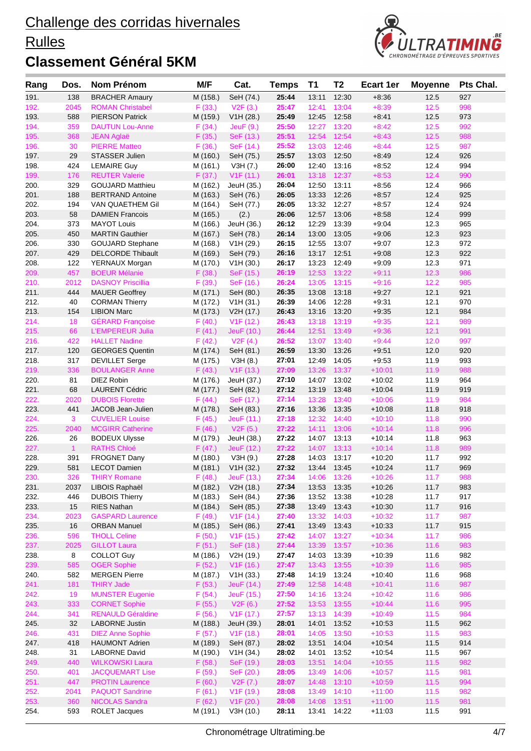### **Rulles**



| Rang         | Dos.           | Nom Prénom                                      | M/F                  | Cat.                    | <b>Temps</b>   | <b>T1</b>      | T <sub>2</sub> | <b>Ecart 1er</b>     | <b>Moyenne</b> | Pts Chal.  |
|--------------|----------------|-------------------------------------------------|----------------------|-------------------------|----------------|----------------|----------------|----------------------|----------------|------------|
| 191.         | 138            | <b>BRACHER Amaury</b>                           | M (158.)             | SeH (74.)               | 25:44          | 13:11          | 12:30          | $+8:36$              | 12.5           | 927        |
| 192.         | 2045           | <b>ROMAN Christabel</b>                         | F(33.)               | V2F(3.)                 | 25:47          | 12:41          | 13:04          | $+8:39$              | 12.5           | 998        |
| 193.         | 588            | <b>PIERSON Patrick</b>                          | M (159.)             | V1H (28.)               | 25:49          | 12:45          | 12:58          | $+8:41$              | 12.5           | 973        |
| 194.         | 359            | <b>DAUTUN Lou-Anne</b>                          | F(34.)               | JeuF(9.)                | 25:50          | 12:27          | 13:20          | $+8:42$              | 12.5           | 992        |
| 195.         | 368            | <b>JEAN Aglaë</b>                               | F(35.)               | SeF (13.)               | 25:51          | 12:54          | 12:54          | $+8:43$              | $12.5$         | 988        |
| 196.         | 30             | <b>PIERRE Matteo</b>                            | F(36.)               | SeF (14.)               | 25:52          | 13:03          | 12:46          | $+8:44$              | 12.5           | 987        |
| 197.         | 29             | <b>STASSER Julien</b>                           | M (160.)             | SeH (75.)               | 25:57          | 13:03          | 12:50          | $+8:49$              | 12.4           | 926        |
| 198.         | 424            | <b>LEMAIRE Guy</b>                              | M (161.)             | V3H (7.)                | 26:00          | 12:40          | 13:16          | $+8:52$              | 12.4           | 994        |
| 199.         | 176            | <b>REUTER Valerie</b>                           | F(37.)               | V1F(11.)                | 26:01          | 13:18          | 12:37          | $+8:53$              | 12.4           | 990        |
| 200.         | 329<br>188     | <b>GOUJARD Matthieu</b>                         | M (162.)             | JeuH (35.)              | 26:04          | 12:50          | 13:11          | $+8:56$              | 12.4<br>12.4   | 966        |
| 201.<br>202. | 194            | <b>BERTRAND Antoine</b><br>VAN QUAETHEM Gil     | M (163.)<br>M (164.) | SeH (76.)<br>SeH (77.)  | 26:05<br>26:05 | 13:33<br>13:32 | 12:26<br>12:27 | $+8:57$<br>$+8:57$   | 12.4           | 925<br>924 |
| 203.         | 58             | <b>DAMIEN Francois</b>                          | M (165.)             | (2.)                    | 26:06          | 12:57          | 13:06          | $+8:58$              | 12.4           | 999        |
| 204.         | 373            | <b>MAYOT Louis</b>                              | M (166.)             | JeuH (36.)              | 26:12          | 12:29          | 13:39          | $+9:04$              | 12.3           | 965        |
| 205.         | 450            | <b>MARTIN Gauthier</b>                          | M (167.)             | SeH (78.)               | 26:14          | 13:00          | 13:05          | $+9:06$              | 12.3           | 923        |
| 206.         | 330            | <b>GOUJARD Stephane</b>                         | M (168.)             | V1H (29.)               | 26:15          | 12:55          | 13:07          | $+9:07$              | 12.3           | 972        |
| 207.         | 429            | <b>DELCORDE Thibault</b>                        | M (169.)             | SeH (79.)               | 26:16          | 13:17          | 12:51          | $+9:08$              | 12.3           | 922        |
| 208.         | 122            | YERNAUX Morgan                                  | M (170.)             | V1H (30.)               | 26:17          | 13:23          | 12:49          | $+9:09$              | 12.3           | 971        |
| 209.         | 457            | <b>BOEUR Mélanie</b>                            | F(38.)               | SeF (15.)               | 26:19          | 12:53          | 13:22          | $+9:11$              | 12.3           | 986        |
| 210.         | 2012           | <b>DASNOY Priscillia</b>                        | F(39.)               | SeF (16.)               | 26:24          | 13:05          | 13:15          | $+9:16$              | 12.2           | 985        |
| 211.         | 444            | <b>MAUER Geoffrey</b>                           | M (171.)             | SeH (80.)               | 26:35          | 13:08          | 13:18          | $+9:27$              | 12.1           | 921        |
| 212.         | 40             | <b>CORMAN Thierry</b>                           | M (172.)             | V1H (31.)               | 26:39          | 14:06          | 12:28          | $+9.31$              | 12.1           | 970        |
| 213.         | 154            | <b>LIBION Marc</b>                              | M (173.)             | V2H (17.)               | 26:43          | 13:16          | 13:20          | $+9:35$              | 12.1           | 984        |
| 214.         | 18             | <b>GÉRARD Françoise</b>                         | F(40.)               | V1F(12.)                | 26:43          | 13:18          | 13:19          | $+9:35$              | 12.1           | 989        |
| 215.         | 66             | <b>L'EMPEREUR Julia</b>                         | F(41.)               | JeuF (10.)              | 26:44          | 12:51          | 13:49          | $+9:36$              | 12.1           | 991        |
| 216.         | 422            | <b>HALLET Nadine</b>                            | F(42.)               | V2F(4.)                 | 26:52          | 13:07          | 13:40          | $+9:44$              | 12.0           | 997        |
| 217.         | 120            | <b>GEORGES Quentin</b>                          | M (174.)             | SeH (81.)               | 26:59          | 13:30          | 13:26          | $+9.51$              | 12.0           | 920        |
| 218.         | 317            | <b>DEVILLET Serge</b>                           | M (175.)             | V3H (8.)                | 27:01          | 12:49          | 14:05          | $+9:53$              | 11.9           | 993        |
| 219.         | 336            | <b>BOULANGER Anne</b>                           | F(43.)               | V1F(13.)                | 27:09          | 13:26          | 13:37          | $+10:01$             | 11.9           | 988        |
| 220.         | 81             | DIEZ Robin                                      | M (176.)             | JeuH (37.)              | 27:10          | 14:07          | 13:02          | $+10:02$             | 11.9           | 964        |
| 221.<br>222. | 68<br>2020     | <b>LAURENT Cédric</b><br><b>DUBOIS Florette</b> | M (177.)<br>F(44.)   | SeH (82.)               | 27:12<br>27:14 | 13:19<br>13:28 | 13:48<br>13:40 | $+10.04$<br>$+10:06$ | 11.9<br>11.9   | 919<br>984 |
| 223.         | 441            | JACOB Jean-Julien                               | M (178.)             | SeF (17.)<br>SeH (83.)  | 27:16          | 13:36          | 13:35          | $+10:08$             | 11.8           | 918        |
| 224.         | 3              | <b>CUVELIER Louise</b>                          | F(45.)               | JeuF (11.)              | 27:18          | 12:32          | 14:40          | $+10:10$             | 11.8           | 990        |
| 225.         | 2040           | <b>MCGIRR Catherine</b>                         | F(46.)               | V2F(5.)                 | 27:22          | 14:11          | 13:06          | $+10:14$             | 11.8           | 996        |
| 226.         | 26             | <b>BODEUX Ulysse</b>                            | M (179.)             | JeuH (38.)              | 27:22          | 14:07          | 13:13          | $+10:14$             | 11.8           | 963        |
| 227.         | $\overline{1}$ | <b>RATHS Chloé</b>                              | F(47.)               | JeuF (12.)              | 27:22          | 14:07          | 13:13          | $+10:14$             | 11.8           | 989        |
| 228.         | 391            | <b>FROGNET Dany</b>                             | M (180.)             | V3H(9.)                 | 27:28          | 14:03          | 13:17          | $+10:20$             | 11.7           | 992        |
| 229.         | 581            | <b>LECOT Damien</b>                             | M (181.)             | V1H (32.)               | 27:32          | 13:44          | 13:45          | $+10:24$             | 11.7           | 969        |
| 230          | 326            | <b>THIRY Romane</b>                             | F(48.)               | JeuF (13.)              | 27:34          | 14:06          | 13:26          | $+10:26$             | 11.7           | 988        |
| 231.         | 2037           | LIBOIS Raphaël                                  | M (182.)             | V2H (18.)               | 27:34          |                | 13:53 13:35    | $+10:26$             | 11.7           | 983        |
| 232.         | 446            | <b>DUBOIS Thierry</b>                           | M (183.)             | SeH (84.)               | 27:36          | 13:52          | 13:38          | $+10:28$             | 11.7           | 917        |
| 233.         | 15             | <b>RIES Nathan</b>                              | M (184.)             | SeH (85.)               | 27:38          | 13:49          | 13:43          | $+10:30$             | 11.7           | 916        |
| 234.         | 2023           | <b>GASPARD Laurence</b>                         | F(49.)               | V1F(14.)                | 27:40          | 13:32          | 14:03          | $+10:32$             | 11.7           | 987        |
| 235.         | 16             | <b>ORBAN Manuel</b>                             | M (185.)             | SeH (86.)               | 27:41          | 13:49          | 13:43          | $+10:33$             | 11.7           | 915        |
| 236.         | 596            | <b>THOLL Celine</b>                             | F(50.)               | V1F(15.)                | 27:42          | 14:07          | 13:27          | $+10:34$             | 11.7           | 986        |
| 237.         | 2025           | <b>GILLOT Laura</b>                             | F(51.)               | SeF (18.)               | 27:44          | 13:39          | 13:57          | $+10:36$             | 11.6           | 983        |
| 238.         | 8              | <b>COLLOT Guy</b>                               | M (186.)             | V2H (19.)               | 27:47          | 14:03          | 13:39          | $+10:39$             | 11.6           | 982        |
| 239.         | 585<br>582     | <b>OGER Sophie</b><br><b>MERGEN Pierre</b>      | F(52.)               | V1F(16.)                | 27:47<br>27:48 | 13:43<br>14:19 | 13:55<br>13:24 | $+10:39$<br>$+10:40$ | 11.6<br>11.6   | 985<br>968 |
| 240.<br>241. | 181            | <b>THIRY Jade</b>                               | M (187.)<br>F(53.)   | V1H (33.)<br>JeuF (14.) | 27:49          | 12:58          | 14:48          | $+10:41$             | 11.6           | 987        |
| 242.         | 19             | <b>MUNSTER Eugenie</b>                          | F(54.)               | JeuF (15.)              | 27:50          | 14:16          | 13:24          | $+10:42$             | 11.6           | 986        |
| 243.         | 333            | <b>CORNET Sophie</b>                            | F(55.)               | V2F(6.)                 | 27:52          | 13:53          | 13:55          | $+10:44$             | 11.6           | 995        |
| 244.         | 341            | <b>RENAULD Géraldine</b>                        | F(56.)               | V1F(17.)                | 27:57          | 13:13          | 14:39          | $+10:49$             | 11.5           | 984        |
| 245.         | 32             | <b>LABORNE Justin</b>                           | M (188.)             | JeuH (39.)              | 28:01          | 14:01          | 13:52          | $+10:53$             | 11.5           | 962        |
| 246.         | 431            | <b>DIEZ Anne Sophie</b>                         | F(57.)               | V <sub>1</sub> F (18.)  | 28:01          | 14:05          | 13:50          | $+10:53$             | 11.5           | 983        |
| 247.         | 418            | <b>HAUMONT Adrien</b>                           | M (189.)             | SeH (87.)               | 28:02          | 13:51          | 14:04          | $+10:54$             | 11.5           | 914        |
| 248.         | 31             | <b>LABORNE David</b>                            | M (190.)             | V1H (34.)               | 28:02          | 14:01          | 13:52          | $+10:54$             | 11.5           | 967        |
| 249.         | 440            | <b>WILKOWSKI Laura</b>                          | F(58.)               | SeF (19.)               | 28:03          | 13:51          | 14:04          | $+10:55$             | $11.5$         | 982        |
| 250.         | 401            | <b>JACQUEMART Lise</b>                          | F(59.)               | SeF (20.)               | 28:05          | 13:49          | 14:06          | $+10:57$             | 11.5           | 981        |
| 251.         | 447            | <b>PROTIN Laurence</b>                          | F(60.)               | V2F (7.)                | 28:07          | 14:48          | 13:10          | $+10:59$             | $11.5$         | 994        |
| 252.         | 2041           | <b>PAQUOT Sandrine</b>                          | F(61.)               | V <sub>1</sub> F (19.)  | 28:08          | 13:49          | 14:10          | $+11:00$             | 11.5           | 982        |
| 253.         | 360            | <b>NICOLAS Sandra</b>                           | F(62.)               | V1F(20.)                | 28:08          | 14:08          | 13:51          | $+11:00$             | 11.5           | 981        |
| 254.         | 593            | <b>ROLET Jacques</b>                            | M (191.)             | V3H(10.)                | 28:11          | 13:41          | 14:22          | $+11:03$             | 11.5           | 991        |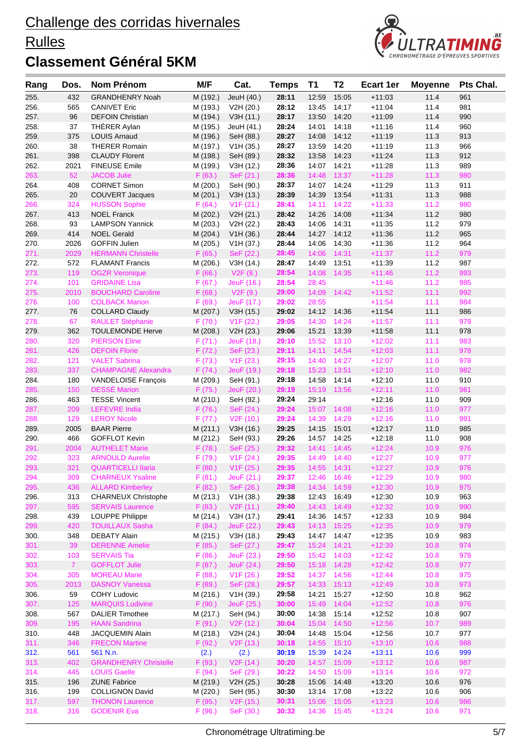### **Rulles**



| Rang         | Dos.           | <b>Nom Prénom</b>                            | M/F                  | Cat.                                | <b>Temps</b>   | T1             | T <sub>2</sub> | <b>Ecart 1er</b>     | <b>Moyenne</b> | Pts Chal.  |
|--------------|----------------|----------------------------------------------|----------------------|-------------------------------------|----------------|----------------|----------------|----------------------|----------------|------------|
| 255.         | 432            | <b>GRANDHENRY Noah</b>                       | M (192.)             | JeuH (40.)                          | 28:11          | 12:59          | 15:05          | $+11:03$             | 11.4           | 961        |
| 256.         | 565            | <b>CANIVET Eric</b>                          | M (193.)             | V2H (20.)                           | 28:12          | 13:45          | 14:17          | $+11:04$             | 11.4           | 981        |
| 257.         | 96             | <b>DEFOIN Christian</b>                      | M (194.)             | V3H (11.)                           | 28:17          | 13:50          | 14:20          | $+11:09$             | 11.4           | 990        |
| 258.         | 37             | THÉRER Aylan                                 | M (195.)             | JeuH (41.)                          | 28:24          | 14:01          | 14:18          | $+11:16$             | 11.4           | 960        |
| 259.         | 375            | <b>LOUIS Arnaud</b>                          | M (196.)             | SeH (88.)                           | 28:27          | 14:08          | 14:12          | $+11:19$             | 11.3           | 913        |
| 260.         | 38             | <b>THERER Romain</b>                         | M (197.)             | V1H (35.)                           | 28:27          | 13:59          | 14:20          | $+11:19$             | 11.3           | 966        |
| 261.         | 398            | <b>CLAUDY Florent</b>                        | M (198.)             | SeH (89.)                           | 28:32          | 13:58          | 14:23          | $+11:24$             | 11.3           | 912        |
| 262.         | 2021           | <b>FINEUSE Emile</b>                         | M (199.)             | V3H(12.)                            | 28:36          | 14:07          | 14:21          | $+11:28$             | 11.3           | 989        |
| 263.         | 52             | <b>JACOB Julie</b>                           | F(63.)               | SeF (21.)                           | 28:36          | 14:48          | 13:37          | $+11:28$             | 11.3           | 980        |
| 264.         | 408            | <b>CORNET Simon</b>                          | M (200.)             | SeH (90.)                           | 28:37          | 14:07          | 14:24          | $+11:29$             | 11.3           | 911        |
| 265.         | 20             | <b>COUVERT Jacques</b>                       | M (201.)             | V3H (13.)                           | 28:39          | 14:39          | 13:54          | $+11.31$             | 11.3           | 988        |
| 266.         | 324            | <b>HUSSON Sophie</b>                         | F(64.)               | V1F(21.)                            | 28:41          | 14:11          | 14:22          | $+11:33$             | 11.2           | 980        |
| 267.<br>268. | 413<br>93      | <b>NOEL Franck</b><br><b>LAMPSON Yannick</b> | M (202.)<br>M (203.) | V2H (21.)                           | 28:42<br>28:43 | 14:26<br>14:06 | 14:08<br>14:31 | $+11:34$<br>$+11:35$ | 11.2<br>11.2   | 980<br>979 |
| 269.         | 414            | <b>NOEL Gerald</b>                           | M (204.)             | V2H (22.)<br>V1H (36.)              | 28:44          | 14:27          | 14:12          | $+11:36$             | 11.2           | 965        |
| 270.         | 2026           | <b>GOFFIN Julien</b>                         | M (205.)             | V1H (37.)                           | 28:44          | 14:06          | 14:30          | $+11:36$             | 11.2           | 964        |
| 271.         | 2029           | <b>HERMANN Christelle</b>                    | F(65.)               | SeF (22.)                           | 28:45          | 14:06          | 14:31          | $+11:37$             | 11.2           | 979        |
| 272.         | 572            | <b>FLAMANT Francis</b>                       | M (206.)             | V3H (14.)                           | 28:47          | 14:49          | 13:51          | $+11:39$             | 11.2           | 987        |
| 273.         | 119            | <b>OGZR Veronique</b>                        | F(66.)               | V2F(8.)                             | 28:54          | 14:08          | 14:35          | $+11:46$             | 11.2           | 993        |
| 274.         | 101            | <b>GRIDAINE Lisa</b>                         | F(67.)               | JeuF (16.)                          | 28:54          | 28:45          |                | $+11:46$             | 11.2           | 985        |
| 275.         | 2010           | <b>BOUCHARD Caroline</b>                     | F(68.)               | V2F(9.)                             | 29:00          | 14:09          | 14:42          | $+11:52$             | 11.1           | 992        |
| 276.         | 100            | <b>COLBACK Marion</b>                        | F(69.)               | JeuF (17.)                          | 29:02          | 28:55          |                | $+11:54$             | 11.1           | 984        |
| 277.         | 76             | <b>COLLARD Claudy</b>                        | M (207.)             | V3H (15.)                           | 29:02          | 14:12          | 14:36          | $+11:54$             | 11.1           | 986        |
| 278.         | 67             | <b>RAULET Stéphanie</b>                      | F(70.)               | V1F(22.)                            | 29:05          | 14:30          | 14:24          | $+11:57$             | 11.1           | 979        |
| 279.         | 362            | <b>TOULEMONDE Herve</b>                      | M (208.)             | V2H (23.)                           | 29:06          | 15:21          | 13:39          | $+11:58$             | 11.1           | 978        |
| 280.         | 320            | <b>PIERSON Eline</b>                         | F(71.)               | JeuF (18.)                          | 29:10          | 15:52          | 13:10          | $+12:02$             | 11.1           | 983        |
| 281.         | 426            | <b>DEFOIN Florie</b>                         | F(72.)               | SeF (23.)                           | 29:11          | 14:11          | 14:54          | $+12:03$             | 11.1           | 978        |
| 282.         | 121            | <b>VALET Sabrina</b>                         | F(73.)               | V1F(23.)                            | 29:15          | 14:40          | 14:27          | $+12:07$             | 11.0           | 978        |
| 283.         | 337            | <b>CHAMPAGNE Alexandra</b>                   | F(74.)               | JeuF (19.)                          | 29:18          | 15:23          | 13:51          | $+12:10$             | 11.0           | 982        |
| 284.         | 180            | <b>VANDELOISE François</b>                   | M (209.)             | SeH (91.)                           | 29:18          | 14:58          | 14:14          | $+12:10$             | 11.0           | 910        |
| 285.         | 150            | <b>DESSÉ Marion</b>                          | F(75.)               | JeuF (20.)                          | 29:19          | 15:19          | 13:56          | $+12:11$             | 11.0           | 981        |
| 286.         | 463            | <b>TESSE Vincent</b>                         | M (210.)             | SeH (92.)                           | 29:24          | 29:14          |                | $+12:16$             | 11.0           | 909        |
| 287.         | 209            | <b>LEFEVRE India</b>                         | F(76.)               | SeF (24.)                           | 29:24          | 15:07          | 14:08          | $+12:16$             | 11.0           | 977        |
| 288.         | 129            | <b>LEROY Nicole</b>                          | F(77.)               | V2F(10.)                            | 29:24          | 14:39          | 14:29          | $+12:16$             | 11.0           | 991        |
| 289.<br>290. | 2005<br>466    | <b>BAAR Pierre</b><br><b>GOFFLOT Kevin</b>   | M (211.)             | V3H (16.)                           | 29:25<br>29:26 | 14:15<br>14:57 | 15:01<br>14:25 | $+12:17$<br>$+12:18$ | 11.0<br>11.0   | 985<br>908 |
| 291.         | 2004           | <b>AUTHELET Marie</b>                        | M (212.)<br>F(78.)   | SeH (93.)<br>SeF (25.)              | 29:32          | 14:41          | 14:45          | $+12:24$             | 10.9           | 976        |
| 292.         | 323            | <b>ARNOULD Aurelie</b>                       | F(79.)               | V <sub>1</sub> F (24.)              | 29:35          | 14:49          | 14:40          | $+12:27$             | 10.9           | 977        |
| 293.         | 321            | <b>QUARTICELLI Ilaria</b>                    | F(80.)               | V <sub>1</sub> F (25.)              | 29:35          | 14:55          | 14:31          | $+12:27$             | 10.9           | 976        |
| 294.         | 309            | <b>CHARNEUX Ysaline</b>                      | F(81.)               | JeuF (21.)                          | 29:37          | 12:46          | 16:46          | $+12:29$             | 10.9           | 980        |
| 295.         | 436            | <b>ALLARD Kimberley</b>                      | F(82.)               | SeF (26.)                           | 29:38          |                | 14:34 14:59    | $+12:30$             | 10.9           | 975        |
| 296.         | 313            | <b>CHARNEUX Christophe</b>                   | M (213.)             | V1H (38.)                           | 29:38          | 12:43          | 16:49          | $+12:30$             | 10.9           | 963        |
| 297.         | 595            | <b>SERVAIS Laurence</b>                      | F(83.)               | V <sub>2</sub> F (11.)              | 29:40          | 14:43          | 14:49          | $+12:32$             | 10.9           | 990        |
| 298.         | 439            | LOUPPE Philippe                              | M (214.)             | V3H (17.)                           | 29:41          | 14:36          | 14:57          | $+12:33$             | 10.9           | 984        |
| 299.         | 420            | <b>TOUILLAUX Sasha</b>                       | F(84.)               | JeuF (22.)                          | 29:43          | 14:13          | 15:25          | $+12:35$             | 10.9           | 979        |
| 300.         | 348            | <b>DEBATY Alain</b>                          | M (215.)             | V3H (18.)                           | 29:43          | 14:47          | 14:47          | $+12:35$             | 10.9           | 983        |
| 301.         | 39             | <b>DERENNE Amelie</b>                        | F(85.)               | SeF (27.)                           | 29:47          | 15:24          | 14:21          | $+12:39$             | 10.8           | 974        |
| 302.         | 103            | <b>SERVAIS Tia</b>                           | F(86.)               | JeuF (23.)                          | 29:50          | 15:42          | 14:03          | $+12:42$             | 10.8           | 978        |
| 303.         | 7 <sup>1</sup> | <b>GOFFLOT Julie</b>                         | F(87.)               | JeuF (24.)                          | 29:50          | 15:18          | 14:28          | $+12:42$             | 10.8           | 977        |
| 304.         | 305            | <b>MOREAU Marie</b>                          | F(88.)               | V1F(26.)                            | 29:52          | 14:37          | 14:56          | $+12:44$             | 10.8           | 975        |
| 305.         | 2013           | <b>DASNOY Vanessa</b>                        | F (89.)              | SeF (28.)                           | 29:57          | 14:33          | 15:13          | $+12:49$             | 10.8           | 973        |
| 306.         | 59             | <b>COHY Ludovic</b>                          | M (216.)             | V1H (39.)                           | 29:58          | 14:21          | 15:27          | $+12:50$             | 10.8           | 962        |
| 307.         | 125            | <b>MARQUIS Ludivine</b>                      | F(90.)               | JeuF (25.)                          | 30:00          | 15:49          | 14:04          | $+12:52$             | 10.8           | 976        |
| 308.         | 567            | <b>DALIER Timothee</b>                       | M (217.)             | SeH (94.)                           | 30:00          | 14:38          | 15:14          | $+12:52$             | 10.8           | 907        |
| 309.         | 195            | <b>HAAN Sandrina</b>                         | F(91.)               | V <sub>2</sub> F (12.)              | 30:04          | 15:04          | 14:50          | $+12:56$             | 10.7           | 989        |
| 310.<br>311. | 448<br>346     | <b>JACQUEMIN Alain</b>                       | M (218.)<br>F (92.)  | V2H (24.)<br>V <sub>2</sub> F (13.) | 30:04<br>30:18 | 14:48<br>14:55 | 15:04<br>15:10 | $+12:56$<br>$+13:10$ | 10.7<br>10.6   | 977<br>988 |
| 312.         | 561            | <b>FRECON Martine</b><br>561 N.n.            | (2.)                 |                                     | 30:19          | 15:39          | 14:24          | $+13:11$             | 10.6           | 999        |
| 313.         | 402            | <b>GRANDHENRY Christelle</b>                 | F(93.)               | (2.)<br>V <sub>2</sub> F (14.)      | 30:20          | 14:57          | 15:09          | $+13:12$             | 10.6           | 987        |
| 314.         | 445            | <b>LOUIS Gaelle</b>                          | F(94.)               | SeF (29.)                           | 30:22          | 14:50          | 15:09          | $+13:14$             | 10.6           | 972        |
| 315.         | 196            | <b>ZUNE Fabrice</b>                          | M (219.)             | V2H (25.)                           | 30:28          | 15:06          | 14:48          | $+13:20$             | 10.6           | 976        |
| 316.         | 199            | <b>COLLIGNON David</b>                       | M (220.)             | SeH (95.)                           | 30:30          | 13:14          | 17:08          | $+13:22$             | 10.6           | 906        |
| 317.         | 597            | <b>THONON Laurence</b>                       | F (95.)              | V <sub>2</sub> F (15.)              | 30:31          | 15:06          | 15:05          | $+13:23$             | 10.6           | 986        |
| 318.         | 316            | <b>GODENIR Eva</b>                           | F(96.)               | SeF (30.)                           | 30:32          | 14:36 15:45    |                | $+13:24$             | 10.6           | 971        |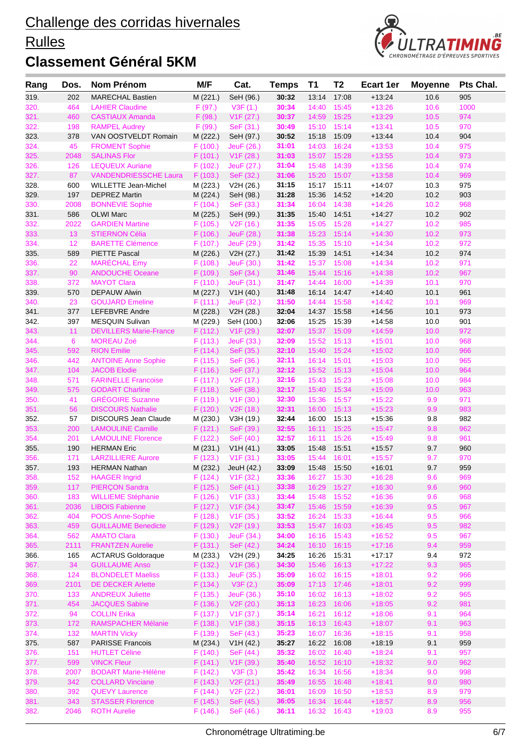### **Rulles**



| Rang         | Dos.        | Nom Prénom                                        | M/F                 | Cat.                   | <b>Temps</b>   | T1             | T <sub>2</sub> | <b>Ecart 1er</b>     | <b>Moyenne</b> | Pts Chal.  |
|--------------|-------------|---------------------------------------------------|---------------------|------------------------|----------------|----------------|----------------|----------------------|----------------|------------|
| 319.         | 202         | <b>MARECHAL Bastien</b>                           | M (221.)            | SeH (96.)              | 30:32          | 13:14          | 17:08          | $+13:24$             | 10.6           | 905        |
| 320.         | 464         | <b>LAHIER Claudine</b>                            | F(97.)              | V3F(1.)                | 30:34          | 14:40          | 15:45          | $+13:26$             | 10.6           | 1000       |
| 321.         | 460         | <b>CASTIAUX Amanda</b>                            | F(98.)              | V1F(27.)               | 30:37          | 14:59          | 15:25          | $+13:29$             | 10.5           | 974        |
| 322.         | 198         | <b>RAMPEL Audrey</b>                              | F(99.)              | SeF (31.)              | 30:49          | 15:10          | 15:14          | $+13:41$             | 10.5           | 970        |
| 323.         | 378         | VAN OOSTVELDT Romain                              | M (222.)            | SeH (97.)              | 30:52          | 15:18          | 15:09          | $+13.44$             | 10.4           | 904        |
| 324.         | 45          | <b>FROMENT Sophie</b>                             | F(100.)             | JeuF (26.)             | 31:01          | 14:03          | 16:24          | $+13:53$             | 10.4           | 975        |
| 325.         | 2048        | <b>SALINAS Flor</b>                               | F(101.)             | V1F(28.)               | 31:03          | 15:07          | 15:28          | $+13:55$             | 10.4           | 973        |
| 326.         | 126         | <b>LEQUEUX Auriane</b>                            | F(102.)             | JeuF (27.)             | 31:04          | 15:48          | 14:39          | $+13:56$             | 10.4           | 974        |
| 327.         | 87          | <b>VANDENDRIESSCHE Laura</b>                      | F(103.)             | SeF (32.)              | 31:06          | 15:20          | 15:07          | $+13:58$             | 10.4           | 969        |
| 328.         | 600         | <b>WILLETTE Jean-Michel</b>                       | M (223.)            | V2H (26.)              | 31:15          | 15:17          | 15:11          | $+14:07$             | 10.3           | 975        |
| 329.         | 197         | <b>DEPREZ Martin</b>                              | M (224.)            | SeH (98.)              | 31:28          | 15:36          | 14:52          | $+14.20$             | 10.2           | 903        |
| 330.         | 2008        | <b>BONNEVIE Sophie</b>                            | F(104.)             | SeF (33.)              | 31:34          | 16:04          | 14:38          | $+14:26$             | 10.2           | 968        |
| 331.         | 586<br>2022 | <b>OLWI Marc</b><br><b>GARDIEN Martine</b>        | M (225.)<br>F(105.) | SeH (99.)<br>V2F(16.)  | 31:35<br>31:35 | 15:40<br>15:05 | 14:51<br>15:28 | $+14.27$<br>$+14:27$ | 10.2<br>10.2   | 902<br>985 |
| 332.<br>333. | 13          | <b>STIERNON Célia</b>                             | F(106.)             | JeuF (28.)             | 31:38          | 15:23          | 15:14          | $+14:30$             | 10.2           | 973        |
| 334.         | 12          | <b>BARETTE Clémence</b>                           | F(107.)             | JeuF (29.)             | 31:42          | 15:35          | 15:10          | $+14:34$             | 10.2           | 972        |
| 335.         | 589         | <b>PIETTE Pascal</b>                              | M (226.)            | V2H (27.)              | 31:42          | 15:39          | 14:51          | $+14.34$             | 10.2           | 974        |
| 336.         | 22          | <b>MARÉCHAL Emy</b>                               | F(108.)             | JeuF (30.)             | 31:42          | 15:37          | 15:08          | $+14:34$             | 10.2           | 971        |
| 337.         | 90          | <b>ANDOUCHE Oceane</b>                            | F (109.)            | SeF (34.)              | 31:46          | 15:44          | 15:16          | $+14:38$             | 10.2           | 967        |
| 338.         | 372         | <b>MAYOT Clara</b>                                | F(110.)             | JeuF (31.)             | 31:47          | 14:44          | 16:00          | $+14:39$             | 10.1           | 970        |
| 339.         | 570         | <b>DEPAUW Alwin</b>                               | M (227.)            | V1H (40.)              | 31:48          | 16:14          | 14:47          | $+14.40$             | 10.1           | 961        |
| 340.         | 23          | <b>GOUJARD Emeline</b>                            | F(111.)             | JeuF (32.)             | 31:50          | 14:44          | 15:58          | $+14:42$             | 10.1           | 969        |
| 341.         | 377         | <b>LEFEBVRE Andre</b>                             | M (228.)            | V2H (28.)              | 32:04          | 14:37          | 15:58          | $+14.56$             | 10.1           | 973        |
| 342.         | 397         | MESQUIN Sulivan                                   | M (229.)            | SeH (100.)             | 32:06          | 15:25          | 15:39          | $+14:58$             | 10.0           | 901        |
| 343.         | 11          | <b>DEVILLERS Marie-France</b>                     | F (112.)            | V1F(29.)               | 32:07          | 15:37          | 15:09          | $+14:59$             | 10.0           | 972        |
| 344.         | 6           | <b>MOREAU Zoé</b>                                 | F(113.)             | JeuF (33.)             | 32:09          | 15:52          | 15:13          | $+15:01$             | 10.0           | 968        |
| 345.         | 592         | <b>RION Emilie</b>                                | F(114.)             | SeF (35.)              | 32:10          | 15:40          | 15:24          | $+15:02$             | 10.0           | 966        |
| 346.         | 442         | <b>ANTOINE Anne Sophie</b>                        | F(115.)             | SeF (36.)              | 32:11          | 16:14          | 15:01          | $+15:03$             | 10.0           | 965        |
| 347.         | 104         | <b>JACOB Elodie</b>                               | F (116.)            | SeF (37.)              | 32:12          | 15:52          | 15:13          | $+15:04$             | 10.0           | 964        |
| 348.         | 571         | <b>FARINELLE Francoise</b>                        | F(117.)             | V2F(17.)               | 32:16          | 15:43          | 15:23          | $+15:08$             | 10.0           | 984        |
| 349.         | 575         | <b>GODART Charline</b>                            | F(118.)             | SeF (38.)              | 32:17          | 15:40          | 15:34          | $+15:09$             | 10.0           | 963        |
| 350.         | 41          | <b>GRÉGOIRE Suzanne</b>                           | F (119.)            | V1F(30.)               | 32:30          | 15:36          | 15:57          | $+15:22$             | 9.9            | 971        |
| 351.         | 56          | <b>DISCOURS Nathalie</b>                          | F(120.)             | V <sub>2</sub> F (18.) | 32:31          | 16:00          | 15:13          | $+15:23$             | 9.9            | 983        |
| 352.         | 57          | <b>DISCOURS Jean Claude</b>                       | M (230.)            | V3H (19.)              | 32:44          | 16:00          | 15:13          | $+15:36$             | 9.8            | 982        |
| 353.         | 200         | <b>LAMOULINE Camille</b>                          | F(121.)             | SeF (39.)              | 32:55          | 16:11          | 15:25          | $+15:47$             | 9.8            | 962        |
| 354.         | 201         | <b>LAMOULINE Florence</b>                         | F(122.)             | SeF (40.)              | 32:57          | 16:11          | 15:26          | $+15:49$             | 9.8            | 961        |
| 355.         | 190         | <b>HERMAN Eric</b>                                | M (231.)            | V1H (41.)              | 33:05          | 15:48          | 15:51          | $+15:57$             | 9.7            | 960        |
| 356.<br>357. | 171<br>193  | <b>LARZILLIERE Aurore</b><br><b>HERMAN Nathan</b> | F(123.)<br>M (232.) | V1F(31.)<br>JeuH (42.) | 33:05<br>33:09 | 15:44<br>15:48 | 16:01<br>15:50 | $+15:57$<br>$+16:01$ | 9.7<br>9.7     | 970<br>959 |
| 358.         | 152         | <b>HAAGER Ingrid</b>                              | F(124.)             | V <sub>1</sub> F (32.) | 33:36          | 16:27          | 15:30          | $+16:28$             | 9.6            | 969        |
| 359.         | 117         | PIERÇON Sandra                                    | F(125.)             | SeF (41.)              | 33:38          |                | 16:29 15:27    | $+16:30$             | 9.6            | 960        |
| 360.         | 183         | <b>WILLIEME Stéphanie</b>                         | F(126.)             | V <sub>1</sub> F (33.) | 33:44          | 15:48          | 15:52          | $+16:36$             | 9.6            | 968        |
| 361.         | 2036        | <b>LIBOIS Fabienne</b>                            | F(127.)             | V <sub>1</sub> F (34.) | 33:47          | 15:46          | 15:59          | $+16:39$             | 9.5            | 967        |
| 362.         | 404         | POOS Anne-Sophie                                  | F(128.)             | V1F(35.)               | 33:52          | 16:24          | 15:33          | $+16:44$             | 9.5            | 966        |
| 363.         | 459         | <b>GUILLAUME Benedicte</b>                        | F(129.)             | V <sub>2</sub> F (19.) | 33:53          | 15:47          | 16:03          | $+16:45$             | 9.5            | 982        |
| 364.         | 562         | <b>AMATO Clara</b>                                | F(130.)             | JeuF (34.)             | 34:00          | 16:16          | 15:43          | $+16:52$             | 9.5            | 967        |
| 365.         | 2111        | <b>FRANTZEN Aurelie</b>                           | F(131.)             | SeF (42.)              | 34:24          |                | 16:10 16:15    | $+17:16$             | 9.4            | 959        |
| 366.         | 165         | <b>ACTARUS Goldoraque</b>                         | M (233.)            | V2H (29.)              | 34:25          | 16:26          | 15:31          | $+17:17$             | 9.4            | 972        |
| 367.         | 34          | <b>GUILLAUME Anso</b>                             | F(132.)             | V <sub>1</sub> F (36.) | 34:30          | 15:46          | 16:13          | $+17:22$             | 9.3            | 965        |
| 368.         | 124         | <b>BLONDELET Maeliss</b>                          | F(133.)             | JeuF (35.)             | 35:09          | 16:02          | 16:15          | $+18:01$             | 9.2            | 966        |
| 369.         | 2101        | <b>DE DECKER Arlette</b>                          | F(134.)             | V3F(2.)                | 35:09          | 17:13          | 17:46          | $+18:01$             | 9.2            | 999        |
| 370.         | 133         | <b>ANDREUX Juliette</b>                           | F(135.)             | JeuF (36.)             | 35:10          | 16:02          | 16:13          | $+18:02$             | 9.2            | 965        |
| 371.         | 454         | <b>JACQUES Sabine</b>                             | F(136.)             | V <sub>2</sub> F (20.) | 35:13          | 16:23          | 16:06          | $+18:05$             | 9.2            | 981        |
| 372.         | 94          | <b>COLLIN Erika</b>                               | F(137.)             | V <sub>1</sub> F (37.) | 35:14          | 16:21          | 16:12          | $+18:06$             | 9.1            | 964        |
| 373.         | 172         | RAMSPACHER Mélanie                                | F(138.)             | V <sub>1</sub> F (38.) | 35:15          | 16:13          | 16:43          | $+18:07$             | 9.1            | 963        |
| 374.         | 132         | <b>MARTIN Vicky</b>                               | F (139.)            | SeF (43.)              | 35:23          | 16:07          | 16:36          | $+18:15$             | 9.1            | 958        |
| 375.         | 587         | <b>PARISSE Francois</b>                           | M (234.)            | V1H (42.)              | 35:27          | 16:22          | 16:08          | $+18:19$             | 9.1            | 959        |
| 376.         | 151         | <b>HUTLET Céline</b>                              | F(140.)             | SeF (44.)              | 35:32          | 16:02          | 16:40          | $+18:24$             | 9.1            | 957        |
| 377.         | 599         | <b>VINCK Fleur</b>                                | F(141.)             | V <sub>1</sub> F (39.) | 35:40          | 16:52          | 16:10          | $+18:32$             | 9.0            | 962        |
| 378.         | 2007        | <b>BODART Marie-Hélène</b>                        | F(142.)             | V3F(3.)                | 35:42          | 16:34          | 16:56          | $+18:34$             | 9.0            | 998        |
| 379.         | 342         | <b>COLLARD Vinciane</b>                           | F(143.)             | V2F(21.)               | 35:49          | 16:55          | 16:48          | $+18:41$             | 9.0            | 980        |
| 380.         | 392         | <b>QUEVY Laurence</b>                             | F(144.)             | V <sub>2</sub> F (22.) | 36:01          | 16:09          | 16:50          | $+18:53$             | 8.9            | 979        |
| 381.         | 343         | <b>STASSER Florence</b>                           | F(145.)             | SeF (45.)              | 36:05          | 16:34          | 16:44          | $+18:57$             | 8.9            | 956        |
| 382.         | 2046        | <b>ROTH Aurelie</b>                               | F(146.)             | SeF (46.)              | 36:11          | 16:32          | 16:43          | $+19:03$             | 8.9            | 955        |